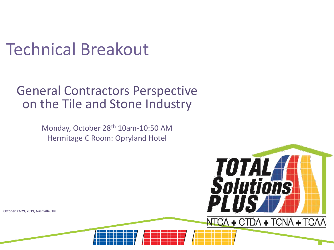## Technical Breakout

#### General Contractors Perspective on the Tile and Stone Industry

Monday, October 28th 10am-10:50 AM Hermitage C Room: Opryland Hotel

**TOTAL H**<br>Solutions

NTCA + CTDA + TCNA + TCAA

PLU

**October 27-29, 2019, Nashville, TN**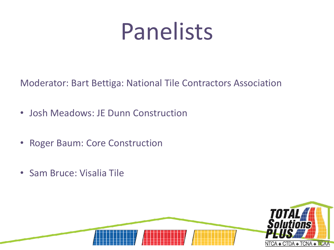# Panelists

Moderator: Bart Bettiga: National Tile Contractors Association

- Josh Meadows: JE Dunn Construction
- Roger Baum: Core Construction
- Sam Bruce: Visalia Tile

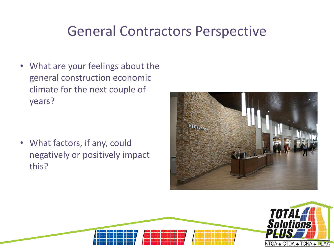#### General Contractors Perspective

• What are your feelings about the general construction economic climate for the next couple of years?

• What factors, if any, could negatively or positively impact this?



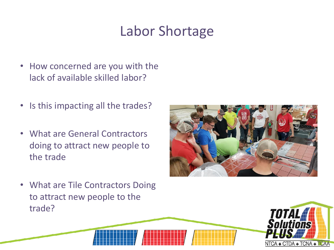#### Labor Shortage

- How concerned are you with the lack of available skilled labor?
- Is this impacting all the trades?
- What are General Contractors doing to attract new people to the trade



• What are Tile Contractors Doing to attract new people to the trade?

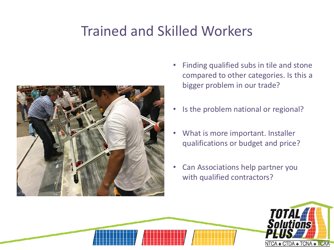#### Trained and Skilled Workers



- Finding qualified subs in tile and stone compared to other categories. Is this a bigger problem in our trade?
- Is the problem national or regional?
- What is more important. Installer qualifications or budget and price?
- Can Associations help partner you with qualified contractors?

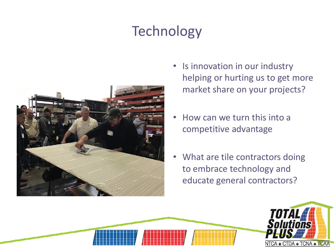### **Technology**



- Is innovation in our industry helping or hurting us to get more market share on your projects?
- How can we turn this into a competitive advantage
- What are tile contractors doing to embrace technology and educate general contractors?

**TUTA** 

NTCA + CTDA + TCNA + TCAA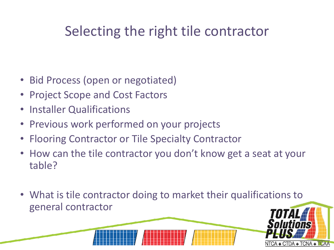#### Selecting the right tile contractor

- Bid Process (open or negotiated)
- Project Scope and Cost Factors
- Installer Qualifications
- Previous work performed on your projects
- Flooring Contractor or Tile Specialty Contractor
- How can the tile contractor you don't know get a seat at your table?
- What is tile contractor doing to market their qualifications to general contractor

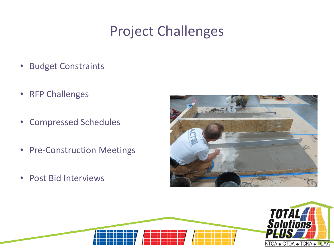### Project Challenges

- Budget Constraints
- RFP Challenges
- Compressed Schedules
- Pre-Construction Meetings
- Post Bid Interviews



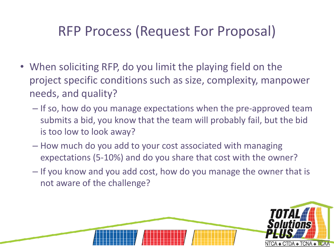#### RFP Process (Request For Proposal)

- When soliciting RFP, do you limit the playing field on the project specific conditions such as size, complexity, manpower needs, and quality?
	- If so, how do you manage expectations when the pre-approved team submits a bid, you know that the team will probably fail, but the bid is too low to look away?
	- How much do you add to your cost associated with managing expectations (5-10%) and do you share that cost with the owner?
	- If you know and you add cost, how do you manage the owner that is not aware of the challenge?

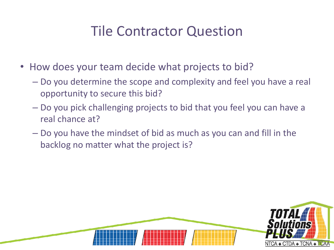#### Tile Contractor Question

- How does your team decide what projects to bid?
	- Do you determine the scope and complexity and feel you have a real opportunity to secure this bid?
	- Do you pick challenging projects to bid that you feel you can have a real chance at?
	- Do you have the mindset of bid as much as you can and fill in the backlog no matter what the project is?

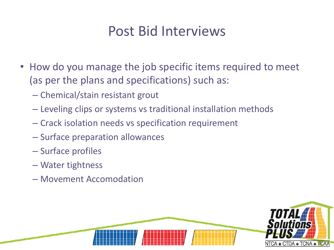#### Post Bid Interviews

- How do you manage the job specific items required to meet (as per the plans and specifications) such as:
	- Chemical/stain resistant grout
	- Leveling clips or systems vs traditional installation methods
	- Crack isolation needs vs specification requirement
	- Surface preparation allowances
	- Surface profiles
	- Water tightness
	- Movement Accomodation

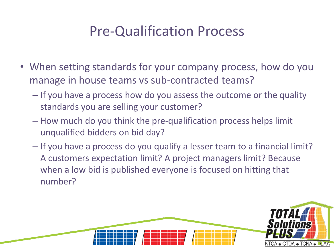#### Pre-Qualification Process

- When setting standards for your company process, how do you manage in house teams vs sub-contracted teams?
	- If you have a process how do you assess the outcome or the quality standards you are selling your customer?
	- How much do you think the pre-qualification process helps limit unqualified bidders on bid day?
	- If you have a process do you qualify a lesser team to a financial limit? A customers expectation limit? A project managers limit? Because when a low bid is published everyone is focused on hitting that number?

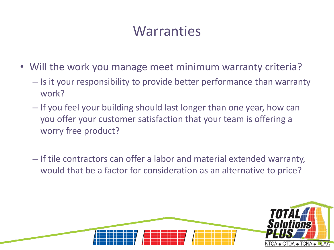#### **Warranties**

- Will the work you manage meet minimum warranty criteria?
	- Is it your responsibility to provide better performance than warranty work?
	- If you feel your building should last longer than one year, how can you offer your customer satisfaction that your team is offering a worry free product?
	- If tile contractors can offer a labor and material extended warranty, would that be a factor for consideration as an alternative to price?

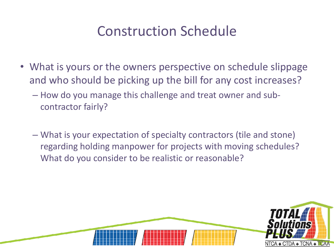#### Construction Schedule

- What is yours or the owners perspective on schedule slippage and who should be picking up the bill for any cost increases?
	- How do you manage this challenge and treat owner and subcontractor fairly?
	- What is your expectation of specialty contractors (tile and stone) regarding holding manpower for projects with moving schedules? What do you consider to be realistic or reasonable?

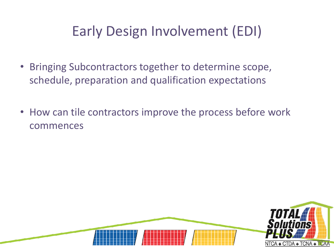### Early Design Involvement (EDI)

- Bringing Subcontractors together to determine scope, schedule, preparation and qualification expectations
- How can tile contractors improve the process before work commences

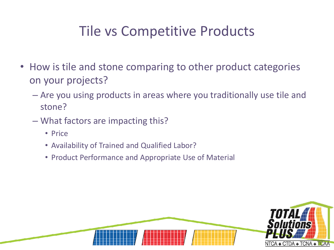#### Tile vs Competitive Products

- How is tile and stone comparing to other product categories on your projects?
	- Are you using products in areas where you traditionally use tile and stone?
	- What factors are impacting this?
		- Price
		- Availability of Trained and Qualified Labor?
		- Product Performance and Appropriate Use of Material

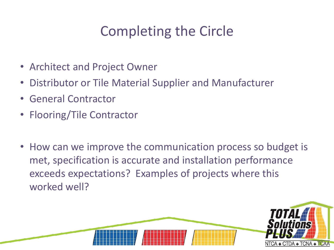### Completing the Circle

- Architect and Project Owner
- Distributor or Tile Material Supplier and Manufacturer
- General Contractor
- Flooring/Tile Contractor
- How can we improve the communication process so budget is met, specification is accurate and installation performance exceeds expectations? Examples of projects where this worked well?

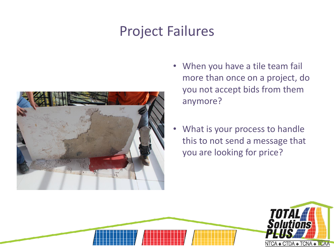#### Project Failures



- When you have a tile team fail more than once on a project, do you not accept bids from them anymore?
- What is your process to handle this to not send a message that you are looking for price?